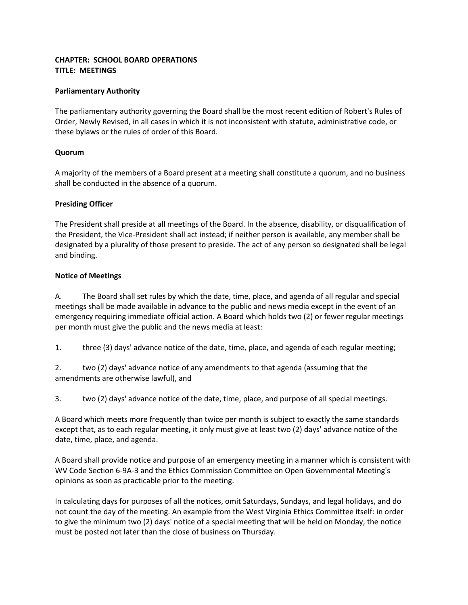## **CHAPTER: SCHOOL BOARD OPERATIONS TITLE: MEETINGS**

## **Parliamentary Authority**

The parliamentary authority governing the Board shall be the most recent edition of Robert's Rules of Order, Newly Revised, in all cases in which it is not inconsistent with statute, administrative code, or these bylaws or the rules of order of this Board.

## **Quorum**

A majority of the members of a Board present at a meeting shall constitute a quorum, and no business shall be conducted in the absence of a quorum.

## **Presiding Officer**

The President shall preside at all meetings of the Board. In the absence, disability, or disqualification of the President, the Vice-President shall act instead; if neither person is available, any member shall be designated by a plurality of those present to preside. The act of any person so designated shall be legal and binding.

## **Notice of Meetings**

A. The Board shall set rules by which the date, time, place, and agenda of all regular and special meetings shall be made available in advance to the public and news media except in the event of an emergency requiring immediate official action. A Board which holds two (2) or fewer regular meetings per month must give the public and the news media at least:

1. three (3) days' advance notice of the date, time, place, and agenda of each regular meeting;

2. two (2) days' advance notice of any amendments to that agenda (assuming that the amendments are otherwise lawful), and

3. two (2) days' advance notice of the date, time, place, and purpose of all special meetings.

A Board which meets more frequently than twice per month is subject to exactly the same standards except that, as to each regular meeting, it only must give at least two (2) days' advance notice of the date, time, place, and agenda.

A Board shall provide notice and purpose of an emergency meeting in a manner which is consistent with WV Code Section 6-9A-3 and the Ethics Commission Committee on Open Governmental Meeting's opinions as soon as practicable prior to the meeting.

In calculating days for purposes of all the notices, omit Saturdays, Sundays, and legal holidays, and do not count the day of the meeting. An example from the West Virginia Ethics Committee itself: in order to give the minimum two (2) days' notice of a special meeting that will be held on Monday, the notice must be posted not later than the close of business on Thursday.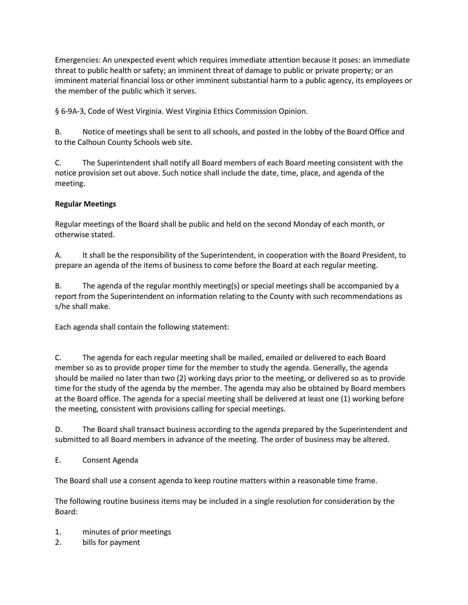Emergencies: An unexpected event which requires immediate attention because it poses: an immediate threat to public health or safety; an imminent threat of damage to public or private property; or an imminent material financial loss or other imminent substantial harm to a public agency, its employees or the member of the public which it serves.

§ 6-9A-3, Code of West Virginia. West Virginia Ethics Commission Opinion.

B. Notice of meetings shall be sent to all schools, and posted in the lobby of the Board Office and to the Calhoun County Schools web site.

C. The Superintendent shall notify all Board members of each Board meeting consistent with the notice provision set out above. Such notice shall include the date, time, place, and agenda of the meeting.

# **Regular Meetings**

Regular meetings of the Board shall be public and held on the second Monday of each month, or otherwise stated.

A. It shall be the responsibility of the Superintendent, in cooperation with the Board President, to prepare an agenda of the items of business to come before the Board at each regular meeting.

B. The agenda of the regular monthly meeting(s) or special meetings shall be accompanied by a report from the Superintendent on information relating to the County with such recommendations as s/he shall make.

Each agenda shall contain the following statement:

C. The agenda for each regular meeting shall be mailed, emailed or delivered to each Board member so as to provide proper time for the member to study the agenda. Generally, the agenda should be mailed no later than two (2) working days prior to the meeting, or delivered so as to provide time for the study of the agenda by the member. The agenda may also be obtained by Board members at the Board office. The agenda for a special meeting shall be delivered at least one (1) working before the meeting, consistent with provisions calling for special meetings.

D. The Board shall transact business according to the agenda prepared by the Superintendent and submitted to all Board members in advance of the meeting. The order of business may be altered.

E. Consent Agenda

The Board shall use a consent agenda to keep routine matters within a reasonable time frame.

The following routine business items may be included in a single resolution for consideration by the Board:

- 1. minutes of prior meetings
- 2. bills for payment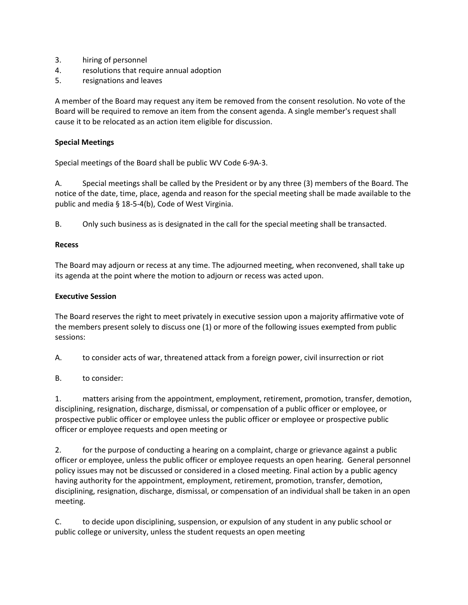- 3. hiring of personnel
- 4. resolutions that require annual adoption
- 5. resignations and leaves

A member of the Board may request any item be removed from the consent resolution. No vote of the Board will be required to remove an item from the consent agenda. A single member's request shall cause it to be relocated as an action item eligible for discussion.

#### **Special Meetings**

Special meetings of the Board shall be public WV Code 6-9A-3.

A. Special meetings shall be called by the President or by any three (3) members of the Board. The notice of the date, time, place, agenda and reason for the special meeting shall be made available to the public and media § 18-5-4(b), Code of West Virginia.

B. Only such business as is designated in the call for the special meeting shall be transacted.

#### **Recess**

The Board may adjourn or recess at any time. The adjourned meeting, when reconvened, shall take up its agenda at the point where the motion to adjourn or recess was acted upon.

#### **Executive Session**

The Board reserves the right to meet privately in executive session upon a majority affirmative vote of the members present solely to discuss one (1) or more of the following issues exempted from public sessions:

A. to consider acts of war, threatened attack from a foreign power, civil insurrection or riot

B. to consider:

1. matters arising from the appointment, employment, retirement, promotion, transfer, demotion, disciplining, resignation, discharge, dismissal, or compensation of a public officer or employee, or prospective public officer or employee unless the public officer or employee or prospective public officer or employee requests and open meeting or

2. for the purpose of conducting a hearing on a complaint, charge or grievance against a public officer or employee, unless the public officer or employee requests an open hearing. General personnel policy issues may not be discussed or considered in a closed meeting. Final action by a public agency having authority for the appointment, employment, retirement, promotion, transfer, demotion, disciplining, resignation, discharge, dismissal, or compensation of an individual shall be taken in an open meeting.

C. to decide upon disciplining, suspension, or expulsion of any student in any public school or public college or university, unless the student requests an open meeting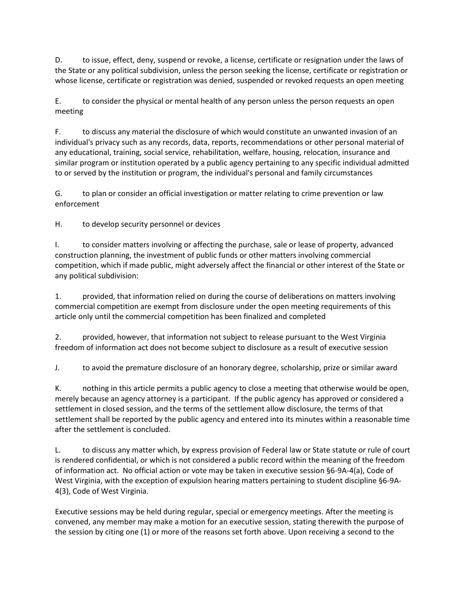D. to issue, effect, deny, suspend or revoke, a license, certificate or resignation under the laws of the State or any political subdivision, unless the person seeking the license, certificate or registration or whose license, certificate or registration was denied, suspended or revoked requests an open meeting

E. to consider the physical or mental health of any person unless the person requests an open meeting

F. to discuss any material the disclosure of which would constitute an unwanted invasion of an individual's privacy such as any records, data, reports, recommendations or other personal material of any educational, training, social service, rehabilitation, welfare, housing, relocation, insurance and similar program or institution operated by a public agency pertaining to any specific individual admitted to or served by the institution or program, the individual's personal and family circumstances

G. to plan or consider an official investigation or matter relating to crime prevention or law enforcement

H. to develop security personnel or devices

I. to consider matters involving or affecting the purchase, sale or lease of property, advanced construction planning, the investment of public funds or other matters involving commercial competition, which if made public, might adversely affect the financial or other interest of the State or any political subdivision:

1. provided, that information relied on during the course of deliberations on matters involving commercial competition are exempt from disclosure under the open meeting requirements of this article only until the commercial competition has been finalized and completed

2. provided, however, that information not subject to release pursuant to the West Virginia freedom of information act does not become subject to disclosure as a result of executive session

J. to avoid the premature disclosure of an honorary degree, scholarship, prize or similar award

K. nothing in this article permits a public agency to close a meeting that otherwise would be open, merely because an agency attorney is a participant. If the public agency has approved or considered a settlement in closed session, and the terms of the settlement allow disclosure, the terms of that settlement shall be reported by the public agency and entered into its minutes within a reasonable time after the settlement is concluded.

L. to discuss any matter which, by express provision of Federal law or State statute or rule of court is rendered confidential, or which is not considered a public record within the meaning of the freedom of information act. No official action or vote may be taken in executive session §6-9A-4(a), Code of West Virginia, with the exception of expulsion hearing matters pertaining to student discipline §6-9A-4(3), Code of West Virginia.

Executive sessions may be held during regular, special or emergency meetings. After the meeting is convened, any member may make a motion for an executive session, stating therewith the purpose of the session by citing one (1) or more of the reasons set forth above. Upon receiving a second to the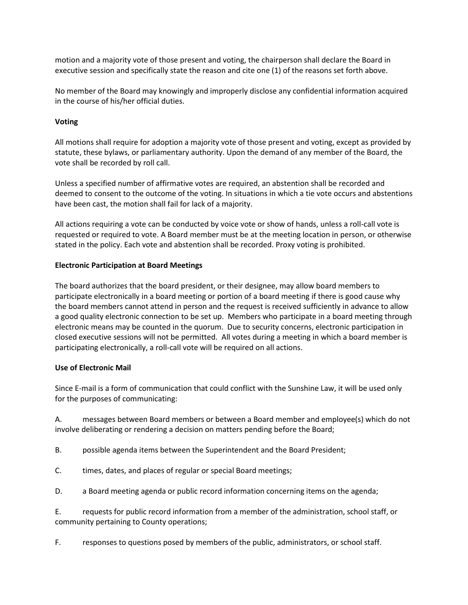motion and a majority vote of those present and voting, the chairperson shall declare the Board in executive session and specifically state the reason and cite one (1) of the reasons set forth above.

No member of the Board may knowingly and improperly disclose any confidential information acquired in the course of his/her official duties.

## **Voting**

All motions shall require for adoption a majority vote of those present and voting, except as provided by statute, these bylaws, or parliamentary authority. Upon the demand of any member of the Board, the vote shall be recorded by roll call.

Unless a specified number of affirmative votes are required, an abstention shall be recorded and deemed to consent to the outcome of the voting. In situations in which a tie vote occurs and abstentions have been cast, the motion shall fail for lack of a majority.

All actions requiring a vote can be conducted by voice vote or show of hands, unless a roll-call vote is requested or required to vote. A Board member must be at the meeting location in person, or otherwise stated in the policy. Each vote and abstention shall be recorded. Proxy voting is prohibited.

## **Electronic Participation at Board Meetings**

The board authorizes that the board president, or their designee, may allow board members to participate electronically in a board meeting or portion of a board meeting if there is good cause why the board members cannot attend in person and the request is received sufficiently in advance to allow a good quality electronic connection to be set up. Members who participate in a board meeting through electronic means may be counted in the quorum. Due to security concerns, electronic participation in closed executive sessions will not be permitted. All votes during a meeting in which a board member is participating electronically, a roll-call vote will be required on all actions.

#### **Use of Electronic Mail**

Since E-mail is a form of communication that could conflict with the Sunshine Law, it will be used only for the purposes of communicating:

A. messages between Board members or between a Board member and employee(s) which do not involve deliberating or rendering a decision on matters pending before the Board;

- B. possible agenda items between the Superintendent and the Board President;
- C. times, dates, and places of regular or special Board meetings;
- D. a Board meeting agenda or public record information concerning items on the agenda;

E. requests for public record information from a member of the administration, school staff, or community pertaining to County operations;

F. responses to questions posed by members of the public, administrators, or school staff.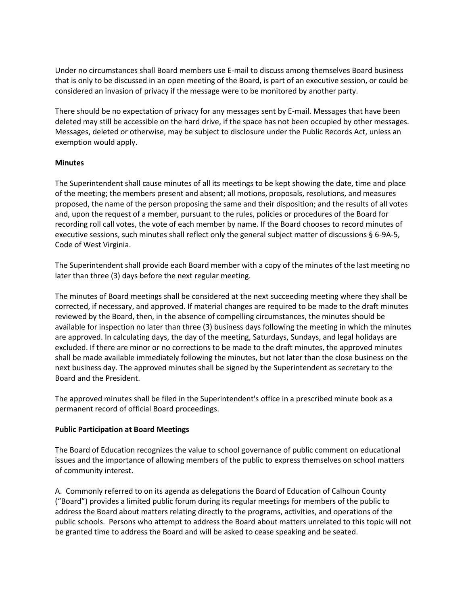Under no circumstances shall Board members use E-mail to discuss among themselves Board business that is only to be discussed in an open meeting of the Board, is part of an executive session, or could be considered an invasion of privacy if the message were to be monitored by another party.

There should be no expectation of privacy for any messages sent by E-mail. Messages that have been deleted may still be accessible on the hard drive, if the space has not been occupied by other messages. Messages, deleted or otherwise, may be subject to disclosure under the Public Records Act, unless an exemption would apply.

#### **Minutes**

The Superintendent shall cause minutes of all its meetings to be kept showing the date, time and place of the meeting; the members present and absent; all motions, proposals, resolutions, and measures proposed, the name of the person proposing the same and their disposition; and the results of all votes and, upon the request of a member, pursuant to the rules, policies or procedures of the Board for recording roll call votes, the vote of each member by name. If the Board chooses to record minutes of executive sessions, such minutes shall reflect only the general subject matter of discussions § 6-9A-5, Code of West Virginia.

The Superintendent shall provide each Board member with a copy of the minutes of the last meeting no later than three (3) days before the next regular meeting.

The minutes of Board meetings shall be considered at the next succeeding meeting where they shall be corrected, if necessary, and approved. If material changes are required to be made to the draft minutes reviewed by the Board, then, in the absence of compelling circumstances, the minutes should be available for inspection no later than three (3) business days following the meeting in which the minutes are approved. In calculating days, the day of the meeting, Saturdays, Sundays, and legal holidays are excluded. If there are minor or no corrections to be made to the draft minutes, the approved minutes shall be made available immediately following the minutes, but not later than the close business on the next business day. The approved minutes shall be signed by the Superintendent as secretary to the Board and the President.

The approved minutes shall be filed in the Superintendent's office in a prescribed minute book as a permanent record of official Board proceedings.

#### **Public Participation at Board Meetings**

The Board of Education recognizes the value to school governance of public comment on educational issues and the importance of allowing members of the public to express themselves on school matters of community interest.

A. Commonly referred to on its agenda as delegations the Board of Education of Calhoun County ("Board") provides a limited public forum during its regular meetings for members of the public to address the Board about matters relating directly to the programs, activities, and operations of the public schools. Persons who attempt to address the Board about matters unrelated to this topic will not be granted time to address the Board and will be asked to cease speaking and be seated.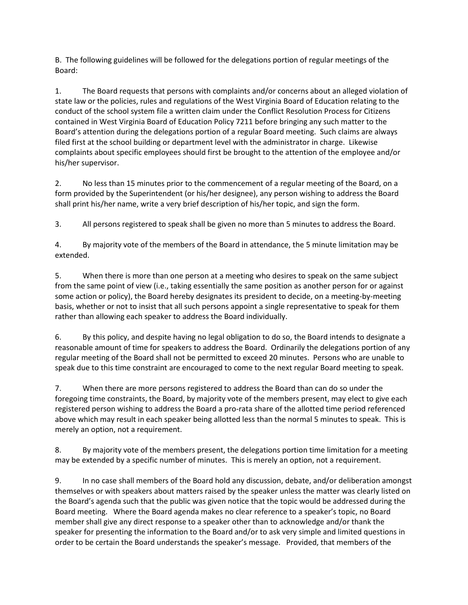B. The following guidelines will be followed for the delegations portion of regular meetings of the Board:

1. The Board requests that persons with complaints and/or concerns about an alleged violation of state law or the policies, rules and regulations of the West Virginia Board of Education relating to the conduct of the school system file a written claim under the Conflict Resolution Process for Citizens contained in West Virginia Board of Education Policy 7211 before bringing any such matter to the Board's attention during the delegations portion of a regular Board meeting. Such claims are always filed first at the school building or department level with the administrator in charge. Likewise complaints about specific employees should first be brought to the attention of the employee and/or his/her supervisor.

2. No less than 15 minutes prior to the commencement of a regular meeting of the Board, on a form provided by the Superintendent (or his/her designee), any person wishing to address the Board shall print his/her name, write a very brief description of his/her topic, and sign the form.

3. All persons registered to speak shall be given no more than 5 minutes to address the Board.

4. By majority vote of the members of the Board in attendance, the 5 minute limitation may be extended.

5. When there is more than one person at a meeting who desires to speak on the same subject from the same point of view (i.e., taking essentially the same position as another person for or against some action or policy), the Board hereby designates its president to decide, on a meeting-by-meeting basis, whether or not to insist that all such persons appoint a single representative to speak for them rather than allowing each speaker to address the Board individually.

6. By this policy, and despite having no legal obligation to do so, the Board intends to designate a reasonable amount of time for speakers to address the Board. Ordinarily the delegations portion of any regular meeting of the Board shall not be permitted to exceed 20 minutes. Persons who are unable to speak due to this time constraint are encouraged to come to the next regular Board meeting to speak.

7. When there are more persons registered to address the Board than can do so under the foregoing time constraints, the Board, by majority vote of the members present, may elect to give each registered person wishing to address the Board a pro-rata share of the allotted time period referenced above which may result in each speaker being allotted less than the normal 5 minutes to speak. This is merely an option, not a requirement.

8. By majority vote of the members present, the delegations portion time limitation for a meeting may be extended by a specific number of minutes. This is merely an option, not a requirement.

9. In no case shall members of the Board hold any discussion, debate, and/or deliberation amongst themselves or with speakers about matters raised by the speaker unless the matter was clearly listed on the Board's agenda such that the public was given notice that the topic would be addressed during the Board meeting. Where the Board agenda makes no clear reference to a speaker's topic, no Board member shall give any direct response to a speaker other than to acknowledge and/or thank the speaker for presenting the information to the Board and/or to ask very simple and limited questions in order to be certain the Board understands the speaker's message. Provided, that members of the